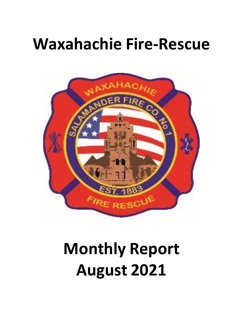## **Waxahachie Fire-Rescue**



# **Monthly Report August 2021**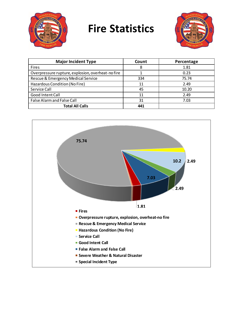

## **Fire Statistics**



| <b>Major Incident Type</b>                        | Count | Percentage |
|---------------------------------------------------|-------|------------|
| <b>Fires</b>                                      | 8     | 1.81       |
| Overpressure rupture, explosion, overheat-no fire |       | 0.23       |
| Rescue & Emergency Medical Service                | 334   | 75.74      |
| Hazardous Condition (No Fire)                     | 11    | 2.49       |
| Service Call                                      | 45    | 10.20      |
| Good Intent Call                                  | 11    | 2.49       |
| False Alarm and False Call                        | 31    | 7.03       |
| <b>Total All Calls</b>                            | 441   |            |

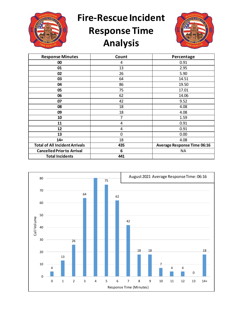

**Fire-Rescue Incident** 

## **Response Time Analysis**



| <b>Response Minutes</b>               | Count       | Percentage                         |
|---------------------------------------|-------------|------------------------------------|
| 00                                    | 4           | 0.91                               |
| 01                                    | 13          | 2.95                               |
| 02                                    | 26          | 5.90                               |
| 03                                    | 64          | 14.51                              |
| 04                                    | 86          | 19.50                              |
| 05                                    | 75          | 17.01                              |
| 06                                    | 62          | 14.06                              |
| 07                                    | 42          | 9.52                               |
| 08                                    | 18          | 4.08                               |
| 09                                    | 18          | 4.08                               |
| 10                                    | 7           | 1.59                               |
| 11                                    | 4           | 0.91                               |
| 12                                    | 4           | 0.91                               |
| 13                                    | $\mathbf 0$ | 0.00                               |
| $14+$                                 | 18          | 4.08                               |
| <b>Total of All Incident Arrivals</b> | 435         | <b>Average Response Time 06:16</b> |
| <b>Cancelled Prior to Arrival</b>     | 6           | <b>NA</b>                          |
| <b>Total Incidents</b>                | 441         |                                    |

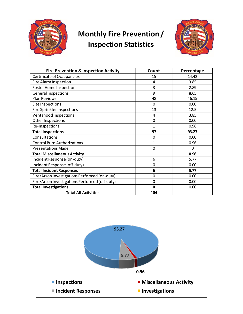

#### **Monthly Fire Prevention / Inspection Statistics**



| <b>Fire Prevention &amp; Inspection Activity</b> | Count       | Percentage   |
|--------------------------------------------------|-------------|--------------|
| Certificate of Occupancies                       | 15          | 14.42        |
| Fire Alarm Inspection                            | 4           | 3.85         |
| <b>Foster Home Inspections</b>                   | 3           | 2.89         |
| <b>General Inspections</b>                       | 9           | 8.65         |
| <b>Plan Reviews</b>                              | 48          | 46.15        |
| Site Inspections                                 | 0           | 0.00         |
| Fire Sprinkler Inspections                       | 13          | 12.5         |
| Ventahood Inspections                            | 4           | 3.85         |
| Other Inspections                                | $\mathbf 0$ | 0.00         |
| Re-Inspections                                   | 1           | 0.96         |
| <b>Total Inspections</b>                         | 97          | 93.27        |
| Consultations                                    | 0           | 0.00         |
| <b>Control Burn Authorizations</b>               | 1           | 0.96         |
| <b>Presentations Made</b>                        | $\mathbf 0$ | $\mathbf{0}$ |
| <b>Total Miscellaneous Activity</b>              | 1           | 0.96         |
| Incident Response (on-duty)                      | 6           | 5.77         |
| Incident Response (off-duty)                     | $\mathbf 0$ | 0.00         |
| <b>Total Incident Responses</b>                  | 6           | 5.77         |
| Fire/Arson Investigations Performed (on-duty)    | 0           | 0.00         |
| Fire/Arson Investigations Performed (off-duty)   | $\mathbf 0$ | 0.00         |
| <b>Total Investigations</b>                      | $\mathbf 0$ | 0.00         |
| <b>Total All Activities</b>                      | 104         |              |